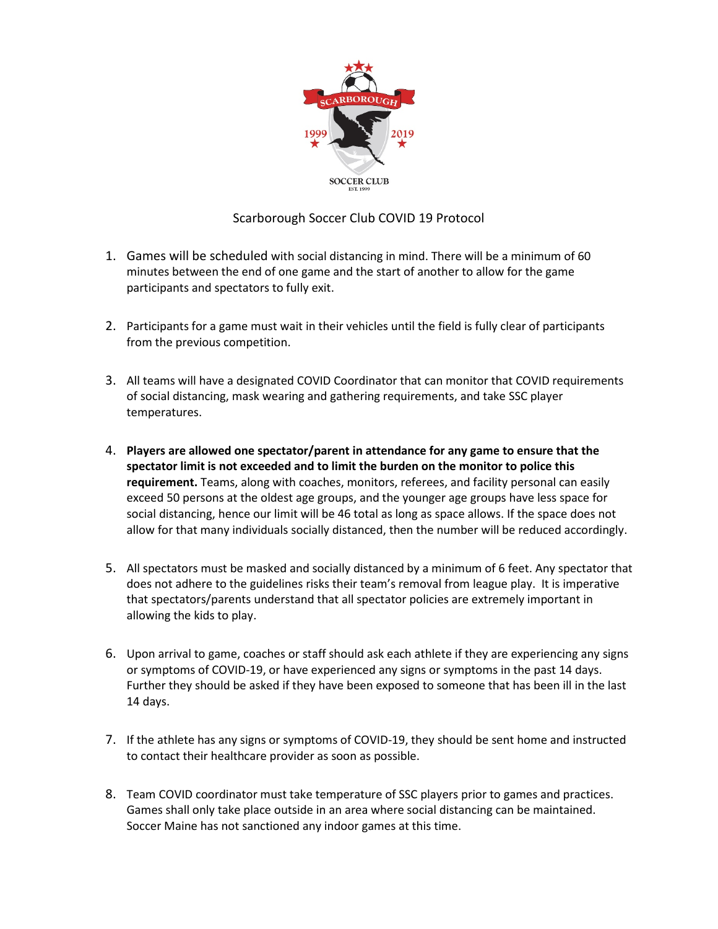

## Scarborough Soccer Club COVID 19 Protocol

- 1. Games will be scheduled with social distancing in mind. There will be a minimum of 60 minutes between the end of one game and the start of another to allow for the game participants and spectators to fully exit.
- 2. Participants for a game must wait in their vehicles until the field is fully clear of participants from the previous competition.
- 3. All teams will have a designated COVID Coordinator that can monitor that COVID requirements of social distancing, mask wearing and gathering requirements, and take SSC player temperatures.
- 4. **Players are allowed one spectator/parent in attendance for any game to ensure that the spectator limit is not exceeded and to limit the burden on the monitor to police this requirement.** Teams, along with coaches, monitors, referees, and facility personal can easily exceed 50 persons at the oldest age groups, and the younger age groups have less space for social distancing, hence our limit will be 46 total as long as space allows. If the space does not allow for that many individuals socially distanced, then the number will be reduced accordingly.
- 5. All spectators must be masked and socially distanced by a minimum of 6 feet. Any spectator that does not adhere to the guidelines risks their team's removal from league play. It is imperative that spectators/parents understand that all spectator policies are extremely important in allowing the kids to play.
- 6. Upon arrival to game, coaches or staff should ask each athlete if they are experiencing any signs or symptoms of COVID-19, or have experienced any signs or symptoms in the past 14 days. Further they should be asked if they have been exposed to someone that has been ill in the last 14 days.
- 7. If the athlete has any signs or symptoms of COVID-19, they should be sent home and instructed to contact their healthcare provider as soon as possible.
- 8. Team COVID coordinator must take temperature of SSC players prior to games and practices. Games shall only take place outside in an area where social distancing can be maintained. Soccer Maine has not sanctioned any indoor games at this time.